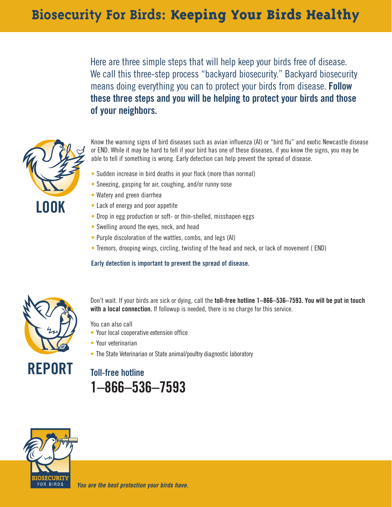Here are three simple steps that will help keep your birds free of disease. We call this three-step process "backyard biosecurity." Backyard biosecurity means doing everything you can to protect your birds from disease. **Follow these three steps and you will be helping to protect your birds and those of your neighbors.**



Know the warning signs of bird diseases such as avian influenza (AI) or "bird flu" and exotic Newcastle disease or END. While it may be hard to tell if your bird has one of these diseases, if you know the signs, you may be able to tell if something is wrong. Early detection can help prevent the spread of disease.

- Sudden increase in bird deaths in your flock (more than normal)
- Sneezing, gasping for air, coughing, and/or runny nose
- Watery and green diarrhea
- Lack of energy and poor appetite
- Drop in egg production or soft- or thin-shelled, misshapen eggs
- Swelling around the eyes, neck, and head
- Purple discoloration of the wattles, combs, and legs (AI)
- Tremors, drooping wings, circling, twisting of the head and neck, or lack of movement ( END)

#### **Early detection is important to prevent the spread of disease.**



Don't wait. If your birds are sick or dying, call the **toll-free hotline 1–866–536–7593. You will be put in touch with a local connection.** If followup is needed, there is no charge for this service.

You can also call

- Your local cooperative extension office
- Your veterinarian
- The State Veterinarian or State animal/poultry diagnostic laboratory

## **Toll-free hotline 1–866–536–7593**